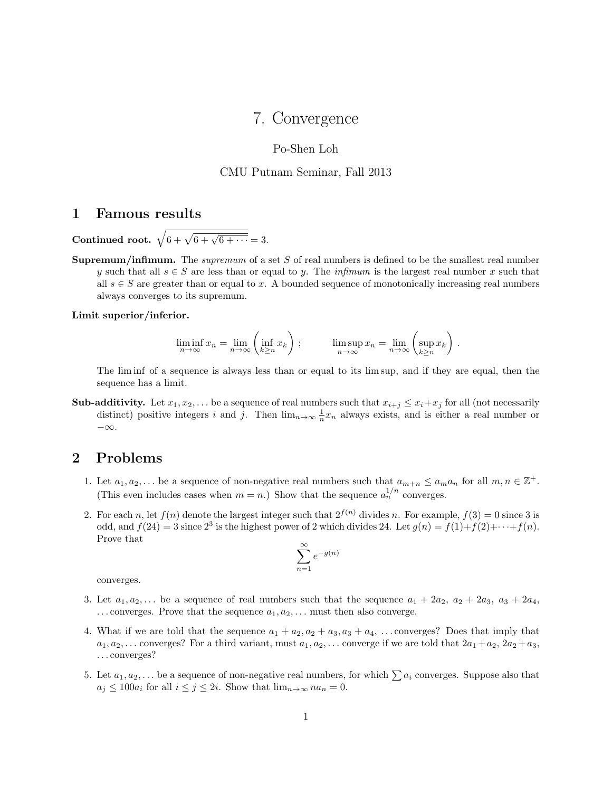# 7. Convergence

### Po-Shen Loh

#### CMU Putnam Seminar, Fall 2013

## 1 Famous results

Continued root.  $\sqrt{6 + \sqrt{6 + \sqrt{6 + \cdots}}} = 3.$ 

**Supremum/infimum.** The *supremum* of a set S of real numbers is defined to be the smallest real number y such that all  $s \in S$  are less than or equal to y. The infimum is the largest real number x such that all  $s \in S$  are greater than or equal to x. A bounded sequence of monotonically increasing real numbers always converges to its supremum.

Limit superior/inferior.

$$
\liminf_{n \to \infty} x_n = \lim_{n \to \infty} \left( \inf_{k \ge n} x_k \right) ; \qquad \limsup_{n \to \infty} x_n = \lim_{n \to \infty} \left( \sup_{k \ge n} x_k \right) .
$$

The lim inf of a sequence is always less than or equal to its lim sup, and if they are equal, then the sequence has a limit.

**Sub-additivity.** Let  $x_1, x_2, \ldots$  be a sequence of real numbers such that  $x_{i+j} \leq x_i + x_j$  for all (not necessarily distinct) positive integers i and j. Then  $\lim_{n\to\infty} \frac{1}{n}x_n$  always exists, and is either a real number or −∞.

## 2 Problems

- 1. Let  $a_1, a_2, \ldots$  be a sequence of non-negative real numbers such that  $a_{m+n} \le a_m a_n$  for all  $m, n \in \mathbb{Z}^+$ . (This even includes cases when  $m = n$ .) Show that the sequence  $a_n^{1/n}$  converges.
- 2. For each n, let  $f(n)$  denote the largest integer such that  $2^{f(n)}$  divides n. For example,  $f(3) = 0$  since 3 is odd, and  $f(24) = 3$  since  $2^3$  is the highest power of 2 which divides 24. Let  $g(n) = f(1) + f(2) + \cdots + f(n)$ . Prove that

$$
\sum_{n=1}^{\infty} e^{-g(n)}
$$

converges.

- 3. Let  $a_1, a_2, \ldots$  be a sequence of real numbers such that the sequence  $a_1 + 2a_2, a_2 + 2a_3, a_3 + 2a_4$ ,  $\ldots$  converges. Prove that the sequence  $a_1, a_2, \ldots$  must then also converge.
- 4. What if we are told that the sequence  $a_1 + a_2, a_2 + a_3, a_3 + a_4, \ldots$  converges? Does that imply that  $a_1, a_2, \ldots$  converges? For a third variant, must  $a_1, a_2, \ldots$  converge if we are told that  $2a_1 + a_2, 2a_2 + a_3$ , . . . converges?
- 5. Let  $a_1, a_2, \ldots$  be a sequence of non-negative real numbers, for which  $\sum a_i$  converges. Suppose also that  $a_j \le 100a_i$  for all  $i \le j \le 2i$ . Show that  $\lim_{n\to\infty} na_n = 0$ .